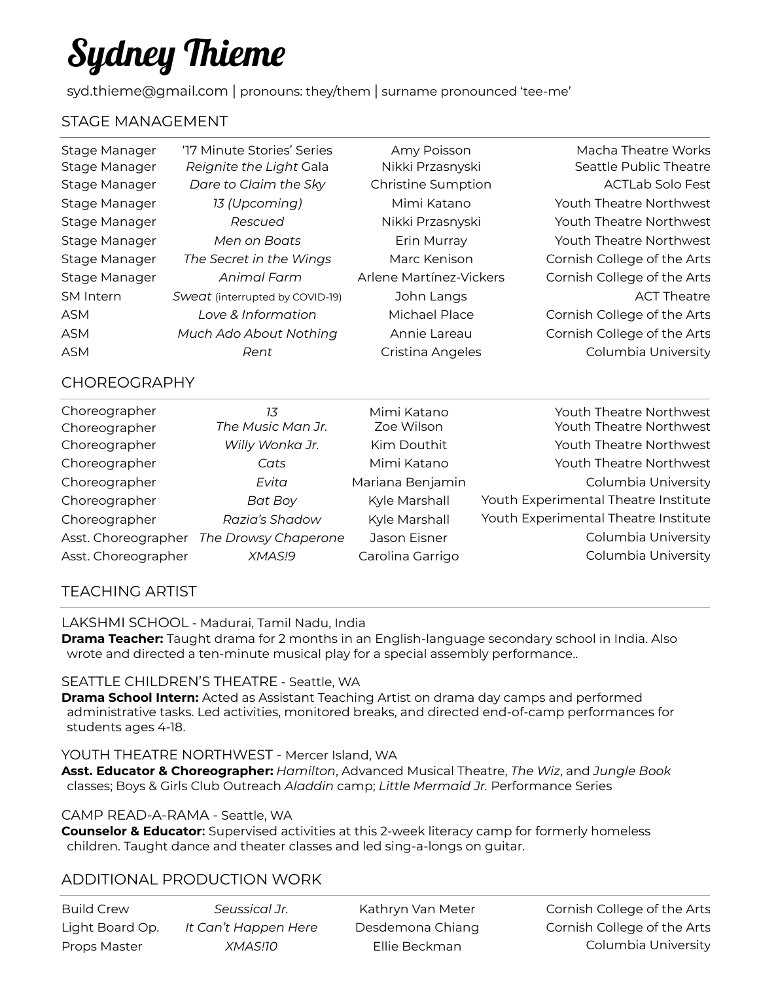# Sydney Thieme

syd.thieme@gmail.com | pronouns: they/them | surname pronounced 'tee-me'

# STAGE MANAGEMENT

| '17 Minute Stories' Series      | Amy Poisson               | Macha Theatre Works         |
|---------------------------------|---------------------------|-----------------------------|
| Reignite the Light Gala         | Nikki Przasnyski          | Seattle Public Theatre      |
| Dare to Claim the Sky           | <b>Christine Sumption</b> | <b>ACTLab Solo Fest</b>     |
| 13 (Upcoming)                   | Mimi Katano               | Youth Theatre Northwest     |
| Rescued                         | Nikki Przasnyski          | Youth Theatre Northwest     |
| Men on Boats                    | Erin Murray               | Youth Theatre Northwest     |
| The Secret in the Wings         | Marc Kenison              | Cornish College of the Arts |
| Animal Farm                     | Arlene Martínez-Vickers   | Cornish College of the Arts |
| Sweat (interrupted by COVID-19) | John Langs                | <b>ACT Theatre</b>          |
| Love & Information              | Michael Place             | Cornish College of the Arts |
| Much Ado About Nothing          | Annie Lareau              | Cornish College of the Arts |
| Rent                            | Cristina Angeles          | Columbia University         |
|                                 |                           |                             |

## CHOREOGRAPHY

| Choreographer       | 7.3                  | Mimi Katano      | Youth Theatre Northwest              |
|---------------------|----------------------|------------------|--------------------------------------|
| Choreographer       | The Music Man Jr.    | Zoe Wilson       | Youth Theatre Northwest              |
| Choreographer       | Willy Wonka Jr.      | Kim Douthit      | Youth Theatre Northwest              |
| Choreographer       | Cats                 | Mimi Katano      | Youth Theatre Northwest              |
| Choreographer       | Evita                | Mariana Benjamin | Columbia University                  |
| Choreographer       | <b>Bat Boy</b>       | Kyle Marshall    | Youth Experimental Theatre Institute |
| Choreographer       | Razia's Shadow       | Kyle Marshall    | Youth Experimental Theatre Institute |
| Asst. Choreographer | The Drowsy Chaperone | Jason Eisner     | Columbia University                  |
| Asst. Choreographer | XMAS!9               | Carolina Garrigo | Columbia University                  |

# TEACHING ARTIST

LAKSHMI SCHOOL - Madurai, Tamil Nadu, India

**Drama Teacher:** Taught drama for 2 months in an English-language secondary school in India. Also wrote and directed a ten-minute musical play for a special assembly performance..

## SEATTLE CHILDREN'S THEATRE - Seattle, WA

**Drama School Intern:** Acted as Assistant Teaching Artist on drama day camps and performed administrative tasks. Led activities, monitored breaks, and directed end-of-camp performances for students ages 4-18.

#### YOUTH THEATRE NORTHWEST - Mercer Island, WA

**Asst. Educator & Choreographer:** *Hamilton*, Advanced Musical Theatre, *The Wiz*, and *Jungle Book* classes; Boys & Girls Club Outreach *Aladdin* camp; *Little Mermaid Jr.* Performance Series

#### CAMP READ-A-RAMA - Seattle, WA

**Counselor & Educator:** Supervised activities at this 2-week literacy camp for formerly homeless children. Taught dance and theater classes and led sing-a-longs on guitar.

# ADDITIONAL PRODUCTION WORK

| Build Crew      | Seussical Jr.        | Kathryn Van Meter | Cornish College of the Arts |
|-----------------|----------------------|-------------------|-----------------------------|
| Light Board Op. | It Can't Happen Here | Desdemona Chiang  | Cornish College of the Arts |
| Props Master    | XMAS!10              | Ellie Beckman     | Columbia University         |